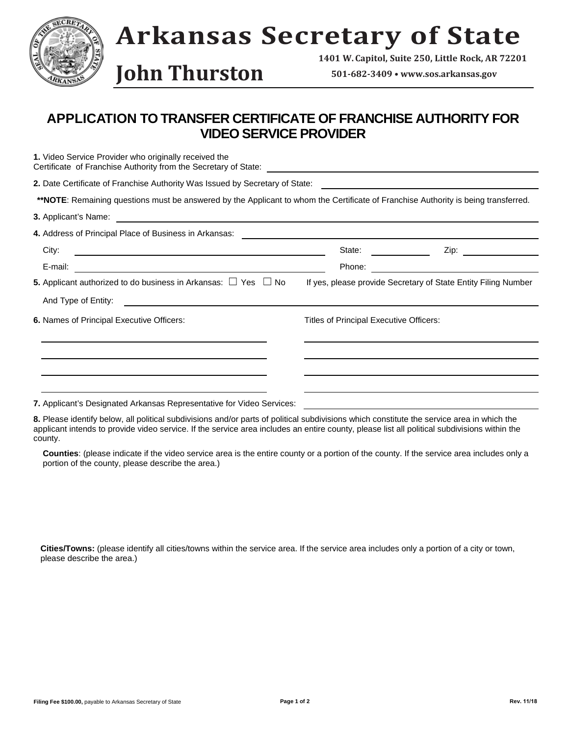

**John Thurston 501-682-3409 • www.sos.arkansas.gov**

**1401 W. Capitol, Suite 250, Little Rock, AR 72201**

## **APPLICATION TO TRANSFER CERTIFICATE OF FRANCHISE AUTHORITY FOR VIDEO SERVICE PROVIDER**

| 1. Video Service Provider who originally received the                                                                                        |                                         |                                                                                                                      |  |
|----------------------------------------------------------------------------------------------------------------------------------------------|-----------------------------------------|----------------------------------------------------------------------------------------------------------------------|--|
| 2. Date Certificate of Franchise Authority Was Issued by Secretary of State:                                                                 |                                         | <u> 1980 - Johann Barbara, martxa a shekara 1980 - An tsaran 1980 - An tsara 1980 - An tsara 1980 - An tsara 198</u> |  |
| **NOTE: Remaining questions must be answered by the Applicant to whom the Certificate of Franchise Authority is being transferred.           |                                         |                                                                                                                      |  |
| 3. Applicant's Name:<br><u> 1989 - Johann Stein, marwolaethau a bhann an t-Amhain an t-Amhain an t-Amhain an t-Amhain an t-Amhain an t-A</u> |                                         |                                                                                                                      |  |
|                                                                                                                                              |                                         |                                                                                                                      |  |
| City:                                                                                                                                        | State:                                  | Zip:<br>$\overline{\phantom{a}}$ and $\overline{\phantom{a}}$ and $\overline{\phantom{a}}$                           |  |
| E-mail:                                                                                                                                      | Phone:                                  |                                                                                                                      |  |
| <b>5.</b> Applicant authorized to do business in Arkansas: $\Box$ Yes $\Box$ No                                                              |                                         | If yes, please provide Secretary of State Entity Filing Number                                                       |  |
| And Type of Entity:                                                                                                                          |                                         |                                                                                                                      |  |
| <b>6. Names of Principal Executive Officers:</b>                                                                                             | Titles of Principal Executive Officers: |                                                                                                                      |  |
|                                                                                                                                              |                                         |                                                                                                                      |  |
|                                                                                                                                              |                                         |                                                                                                                      |  |
|                                                                                                                                              |                                         |                                                                                                                      |  |
| 7. Applicant's Designated Arkansas Representative for Video Services:                                                                        |                                         |                                                                                                                      |  |

**8.** Please identify below, all political subdivisions and/or parts of political subdivisions which constitute the service area in which the applicant intends to provide video service. If the service area includes an entire county, please list all political subdivisions within the county.

 **Counties**: (please indicate if the video service area is the entire county or a portion of the county. If the service area includes only a portion of the county, please describe the area.)

 **Cities/Towns:** (please identify all cities/towns within the service area. If the service area includes only a portion of a city or town, please describe the area.)